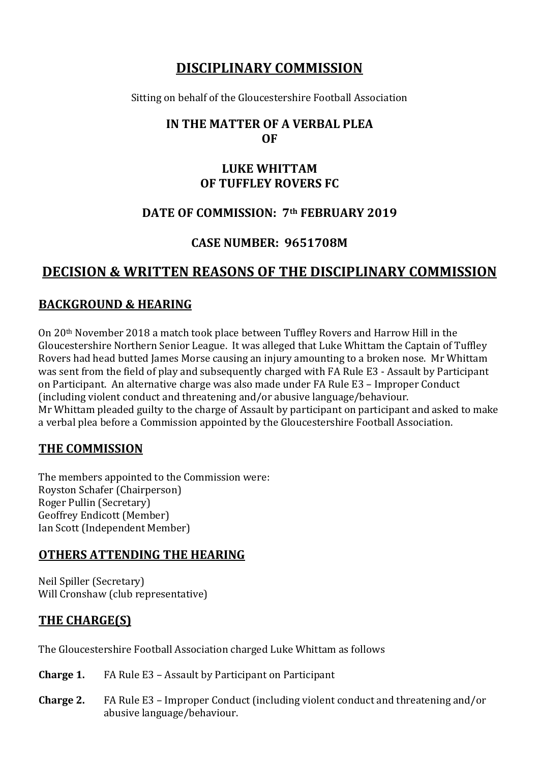# **DISCIPLINARY COMMISSION**

Sitting on behalf of the Gloucestershire Football Association

## **IN THE MATTER OF A VERBAL PLEA OF**

## **LUKE WHITTAM OF TUFFLEY ROVERS FC**

## **DATE OF COMMISSION: 7th FEBRUARY 2019**

# **CASE NUMBER: 9651708M**

# **DECISION & WRITTEN REASONS OF THE DISCIPLINARY COMMISSION**

#### **BACKGROUND & HEARING**

On 20th November 2018 a match took place between Tuffley Rovers and Harrow Hill in the Gloucestershire Northern Senior League. It was alleged that Luke Whittam the Captain of Tuffley Rovers had head butted James Morse causing an injury amounting to a broken nose. Mr Whittam was sent from the field of play and subsequently charged with FA Rule E3 - Assault by Participant on Participant. An alternative charge was also made under FA Rule E3 – Improper Conduct (including violent conduct and threatening and/or abusive language/behaviour. Mr Whittam pleaded guilty to the charge of Assault by participant on participant and asked to make a verbal plea before a Commission appointed by the Gloucestershire Football Association.

## **THE COMMISSION**

The members appointed to the Commission were: Royston Schafer (Chairperson) Roger Pullin (Secretary) Geoffrey Endicott (Member) Ian Scott (Independent Member)

## **OTHERS ATTENDING THE HEARING**

Neil Spiller (Secretary) Will Cronshaw (club representative)

# **THE CHARGE(S)**

The Gloucestershire Football Association charged Luke Whittam as follows

- **Charge 1.** FA Rule E3 Assault by Participant on Participant
- **Charge 2.** FA Rule E3 Improper Conduct (including violent conduct and threatening and/or abusive language/behaviour.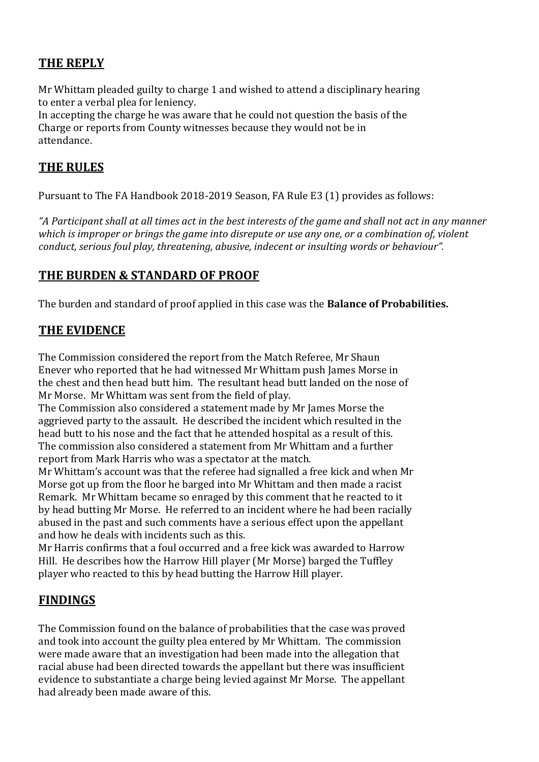## **THE REPLY**

Mr Whittam pleaded guilty to charge 1 and wished to attend a disciplinary hearing to enter a verbal plea for leniency.

In accepting the charge he was aware that he could not question the basis of the Charge or reports from County witnesses because they would not be in attendance.

## **THE RULES**

Pursuant to The FA Handbook 2018-2019 Season, FA Rule E3 (1) provides as follows:

*"A Participant shall at all times act in the best interests of the game and shall not act in any manner which is improper or brings the game into disrepute or use any one, or a combination of, violent conduct, serious foul play, threatening, abusive, indecent or insulting words or behaviour".*

## **THE BURDEN & STANDARD OF PROOF**

The burden and standard of proof applied in this case was the **Balance of Probabilities.**

#### **THE EVIDENCE**

The Commission considered the report from the Match Referee, Mr Shaun Enever who reported that he had witnessed Mr Whittam push James Morse in the chest and then head butt him. The resultant head butt landed on the nose of Mr Morse. Mr Whittam was sent from the field of play.

The Commission also considered a statement made by Mr James Morse the aggrieved party to the assault. He described the incident which resulted in the head butt to his nose and the fact that he attended hospital as a result of this. The commission also considered a statement from Mr Whittam and a further report from Mark Harris who was a spectator at the match.

Mr Whittam's account was that the referee had signalled a free kick and when Mr Morse got up from the floor he barged into Mr Whittam and then made a racist Remark. Mr Whittam became so enraged by this comment that he reacted to it by head butting Mr Morse. He referred to an incident where he had been racially abused in the past and such comments have a serious effect upon the appellant and how he deals with incidents such as this.

Mr Harris confirms that a foul occurred and a free kick was awarded to Harrow Hill. He describes how the Harrow Hill player (Mr Morse) barged the Tuffley player who reacted to this by head butting the Harrow Hill player.

## **FINDINGS**

The Commission found on the balance of probabilities that the case was proved and took into account the guilty plea entered by Mr Whittam. The commission were made aware that an investigation had been made into the allegation that racial abuse had been directed towards the appellant but there was insufficient evidence to substantiate a charge being levied against Mr Morse. The appellant had already been made aware of this.